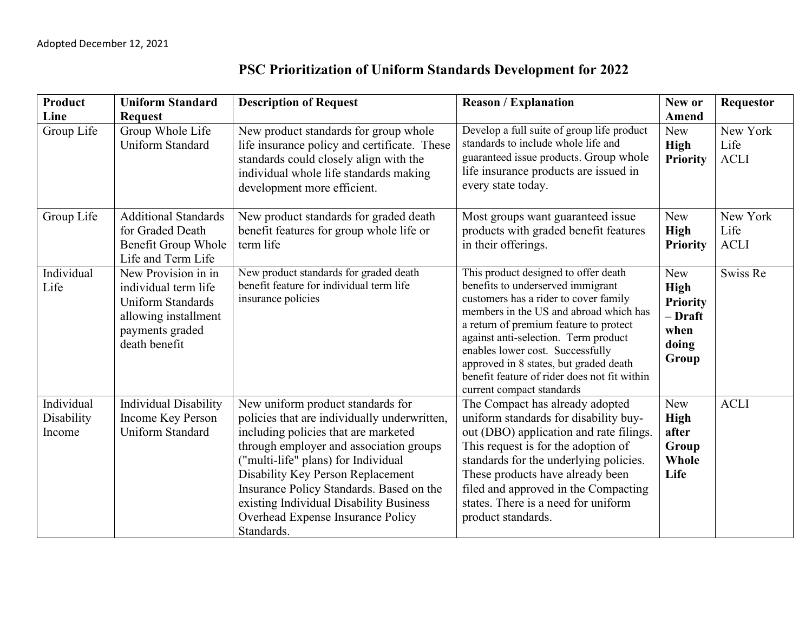| Product                            | <b>Uniform Standard</b>                                                                                                             | <b>Description of Request</b>                                                                                                                                                                                                                                                                                                                                                              | <b>Reason / Explanation</b>                                                                                                                                                                                                                                                                                                                                                                               | New or                                                                            | <b>Requestor</b>                |
|------------------------------------|-------------------------------------------------------------------------------------------------------------------------------------|--------------------------------------------------------------------------------------------------------------------------------------------------------------------------------------------------------------------------------------------------------------------------------------------------------------------------------------------------------------------------------------------|-----------------------------------------------------------------------------------------------------------------------------------------------------------------------------------------------------------------------------------------------------------------------------------------------------------------------------------------------------------------------------------------------------------|-----------------------------------------------------------------------------------|---------------------------------|
| Line                               | <b>Request</b>                                                                                                                      |                                                                                                                                                                                                                                                                                                                                                                                            |                                                                                                                                                                                                                                                                                                                                                                                                           | Amend                                                                             |                                 |
| Group Life                         | Group Whole Life<br>Uniform Standard                                                                                                | New product standards for group whole<br>life insurance policy and certificate. These<br>standards could closely align with the<br>individual whole life standards making<br>development more efficient.                                                                                                                                                                                   | Develop a full suite of group life product<br>standards to include whole life and<br>guaranteed issue products. Group whole<br>life insurance products are issued in<br>every state today.                                                                                                                                                                                                                | <b>New</b><br><b>High</b><br><b>Priority</b>                                      | New York<br>Life<br><b>ACLI</b> |
| Group Life                         | <b>Additional Standards</b><br>for Graded Death<br>Benefit Group Whole<br>Life and Term Life                                        | New product standards for graded death<br>benefit features for group whole life or<br>term life                                                                                                                                                                                                                                                                                            | Most groups want guaranteed issue<br>products with graded benefit features<br>in their offerings.                                                                                                                                                                                                                                                                                                         | <b>New</b><br><b>High</b><br><b>Priority</b>                                      | New York<br>Life<br><b>ACLI</b> |
| Individual<br>Life                 | New Provision in in<br>individual term life<br><b>Uniform Standards</b><br>allowing installment<br>payments graded<br>death benefit | New product standards for graded death<br>benefit feature for individual term life<br>insurance policies                                                                                                                                                                                                                                                                                   | This product designed to offer death<br>benefits to underserved immigrant<br>customers has a rider to cover family<br>members in the US and abroad which has<br>a return of premium feature to protect<br>against anti-selection. Term product<br>enables lower cost. Successfully<br>approved in 8 states, but graded death<br>benefit feature of rider does not fit within<br>current compact standards | <b>New</b><br><b>High</b><br><b>Priority</b><br>- Draft<br>when<br>doing<br>Group | Swiss Re                        |
| Individual<br>Disability<br>Income | <b>Individual Disability</b><br><b>Income Key Person</b><br><b>Uniform Standard</b>                                                 | New uniform product standards for<br>policies that are individually underwritten,<br>including policies that are marketed<br>through employer and association groups<br>("multi-life" plans) for Individual<br>Disability Key Person Replacement<br>Insurance Policy Standards. Based on the<br>existing Individual Disability Business<br>Overhead Expense Insurance Policy<br>Standards. | The Compact has already adopted<br>uniform standards for disability buy-<br>out (DBO) application and rate filings.<br>This request is for the adoption of<br>standards for the underlying policies.<br>These products have already been<br>filed and approved in the Compacting<br>states. There is a need for uniform<br>product standards.                                                             | <b>New</b><br><b>High</b><br>after<br>Group<br>Whole<br>Life                      | <b>ACLI</b>                     |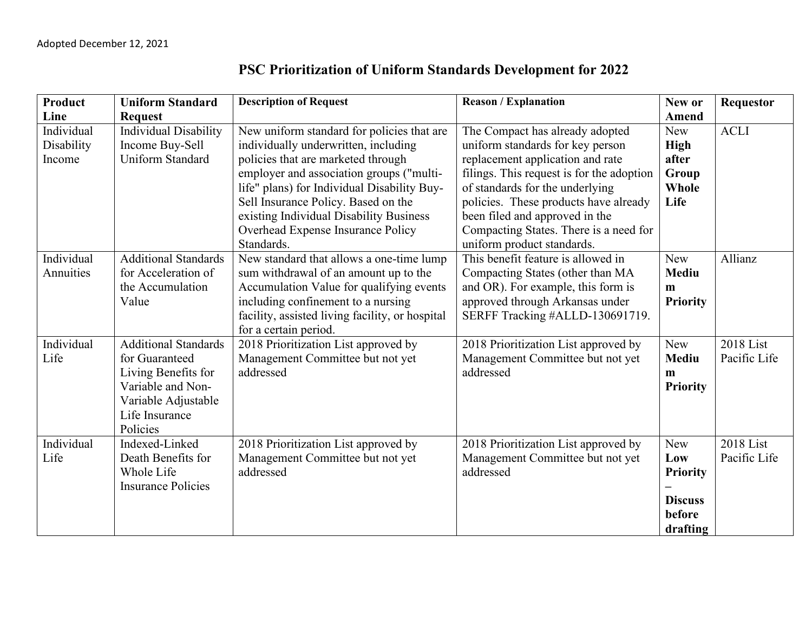| Product    | <b>Uniform Standard</b>      | <b>Description of Request</b>                   | <b>Reason / Explanation</b>               | New or          | <b>Requestor</b> |
|------------|------------------------------|-------------------------------------------------|-------------------------------------------|-----------------|------------------|
| Line       | <b>Request</b>               |                                                 |                                           | Amend           |                  |
| Individual | <b>Individual Disability</b> | New uniform standard for policies that are      | The Compact has already adopted           | <b>New</b>      | <b>ACLI</b>      |
| Disability | Income Buy-Sell              | individually underwritten, including            | uniform standards for key person          | <b>High</b>     |                  |
| Income     | <b>Uniform Standard</b>      | policies that are marketed through              | replacement application and rate          | after           |                  |
|            |                              | employer and association groups ("multi-        | filings. This request is for the adoption | Group           |                  |
|            |                              | life" plans) for Individual Disability Buy-     | of standards for the underlying           | Whole           |                  |
|            |                              | Sell Insurance Policy. Based on the             | policies. These products have already     | Life            |                  |
|            |                              | existing Individual Disability Business         | been filed and approved in the            |                 |                  |
|            |                              | Overhead Expense Insurance Policy               | Compacting States. There is a need for    |                 |                  |
|            |                              | Standards.                                      | uniform product standards.                |                 |                  |
| Individual | <b>Additional Standards</b>  | New standard that allows a one-time lump        | This benefit feature is allowed in        | New             | Allianz          |
| Annuities  | for Acceleration of          | sum withdrawal of an amount up to the           | Compacting States (other than MA          | <b>Mediu</b>    |                  |
|            | the Accumulation             | Accumulation Value for qualifying events        | and OR). For example, this form is        | $\mathbf{m}$    |                  |
|            | Value                        | including confinement to a nursing              | approved through Arkansas under           | <b>Priority</b> |                  |
|            |                              | facility, assisted living facility, or hospital | SERFF Tracking #ALLD-130691719.           |                 |                  |
|            |                              | for a certain period.                           |                                           |                 |                  |
| Individual | <b>Additional Standards</b>  | 2018 Prioritization List approved by            | 2018 Prioritization List approved by      | <b>New</b>      | 2018 List        |
| Life       | for Guaranteed               | Management Committee but not yet                | Management Committee but not yet          | <b>Mediu</b>    | Pacific Life     |
|            | Living Benefits for          | addressed                                       | addressed                                 | m               |                  |
|            | Variable and Non-            |                                                 |                                           | <b>Priority</b> |                  |
|            | Variable Adjustable          |                                                 |                                           |                 |                  |
|            | Life Insurance               |                                                 |                                           |                 |                  |
|            | Policies                     |                                                 |                                           |                 |                  |
| Individual | Indexed-Linked               | 2018 Prioritization List approved by            | 2018 Prioritization List approved by      | <b>New</b>      | 2018 List        |
| Life       | Death Benefits for           | Management Committee but not yet                | Management Committee but not yet          | Low             | Pacific Life     |
|            | Whole Life                   | addressed                                       | addressed                                 | <b>Priority</b> |                  |
|            | <b>Insurance Policies</b>    |                                                 |                                           |                 |                  |
|            |                              |                                                 |                                           | <b>Discuss</b>  |                  |
|            |                              |                                                 |                                           | before          |                  |
|            |                              |                                                 |                                           | drafting        |                  |

## **PSC Prioritization of Uniform Standards Development for 2022**